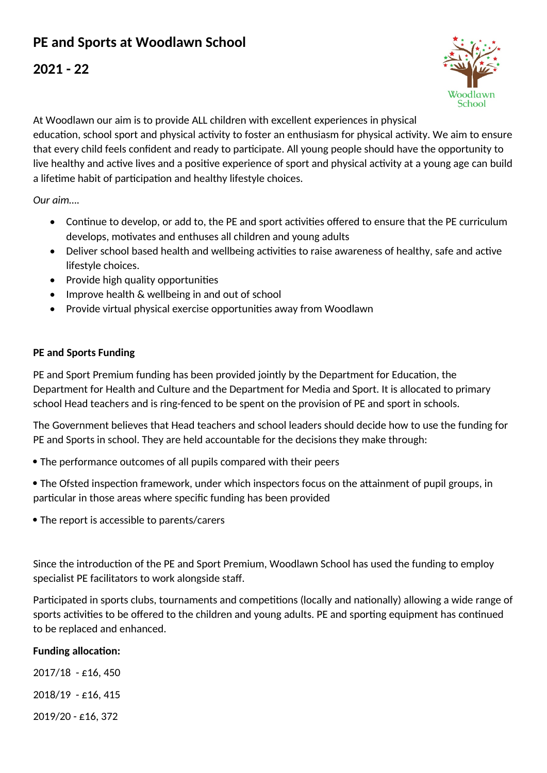## **PE and Sports at Woodlawn School**

## **2021 - 22**



At Woodlawn our aim is to provide ALL children with excellent experiences in physical education, school sport and physical activity to foster an enthusiasm for physical activity. We aim to ensure that every child feels confident and ready to participate. All young people should have the opportunity to live healthy and active lives and a positive experience of sport and physical activity at a young age can build a lifetime habit of participation and healthy lifestyle choices.

*Our aim….*

- Continue to develop, or add to, the PE and sport activities offered to ensure that the PE curriculum develops, motivates and enthuses all children and young adults
- Deliver school based health and wellbeing activities to raise awareness of healthy, safe and active lifestyle choices.
- Provide high quality opportunities
- Improve health & wellbeing in and out of school
- Provide virtual physical exercise opportunities away from Woodlawn

## **PE and Sports Funding**

PE and Sport Premium funding has been provided jointly by the Department for Education, the Department for Health and Culture and the Department for Media and Sport. It is allocated to primary school Head teachers and is ring-fenced to be spent on the provision of PE and sport in schools.

The Government believes that Head teachers and school leaders should decide how to use the funding for PE and Sports in school. They are held accountable for the decisions they make through:

- The performance outcomes of all pupils compared with their peers
- The Ofsted inspection framework, under which inspectors focus on the attainment of pupil groups, in particular in those areas where specific funding has been provided
- The report is accessible to parents/carers

Since the introduction of the PE and Sport Premium, Woodlawn School has used the funding to employ specialist PE facilitators to work alongside staff.

Participated in sports clubs, tournaments and competitions (locally and nationally) allowing a wide range of sports activities to be offered to the children and young adults. PE and sporting equipment has continued to be replaced and enhanced.

## **Funding allocation:**

2017/18 - £16, 450 2018/19 - £16, 415 2019/20 - £16, 372